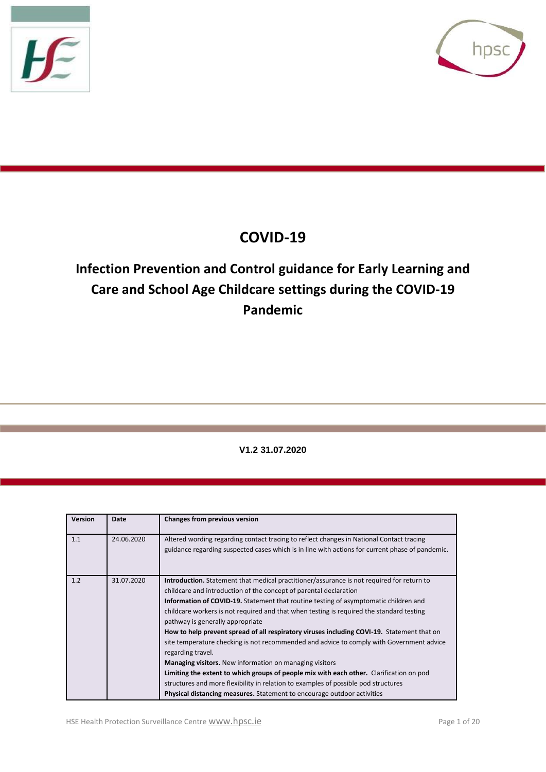



# **COVID-19**

# **Infection Prevention and Control guidance for Early Learning and Care and School Age Childcare settings during the COVID-19 Pandemic**

**V1.2 31.07.2020**

| Version | <b>Date</b> | Changes from previous version                                                                                                                                                                                                                                                                                                                                                                                                                                                                                                                                                                                                                                                                                                                                                                                                                                                                                                       |
|---------|-------------|-------------------------------------------------------------------------------------------------------------------------------------------------------------------------------------------------------------------------------------------------------------------------------------------------------------------------------------------------------------------------------------------------------------------------------------------------------------------------------------------------------------------------------------------------------------------------------------------------------------------------------------------------------------------------------------------------------------------------------------------------------------------------------------------------------------------------------------------------------------------------------------------------------------------------------------|
| 1.1     | 24.06.2020  | Altered wording regarding contact tracing to reflect changes in National Contact tracing<br>guidance regarding suspected cases which is in line with actions for current phase of pandemic.                                                                                                                                                                                                                                                                                                                                                                                                                                                                                                                                                                                                                                                                                                                                         |
| 1.2     | 31.07.2020  | Introduction. Statement that medical practitioner/assurance is not required for return to<br>childcare and introduction of the concept of parental declaration<br>Information of COVID-19. Statement that routine testing of asymptomatic children and<br>childcare workers is not required and that when testing is required the standard testing<br>pathway is generally appropriate<br>How to help prevent spread of all respiratory viruses including COVI-19. Statement that on<br>site temperature checking is not recommended and advice to comply with Government advice<br>regarding travel.<br>Managing visitors. New information on managing visitors<br>Limiting the extent to which groups of people mix with each other. Clarification on pod<br>structures and more flexibility in relation to examples of possible pod structures<br><b>Physical distancing measures.</b> Statement to encourage outdoor activities |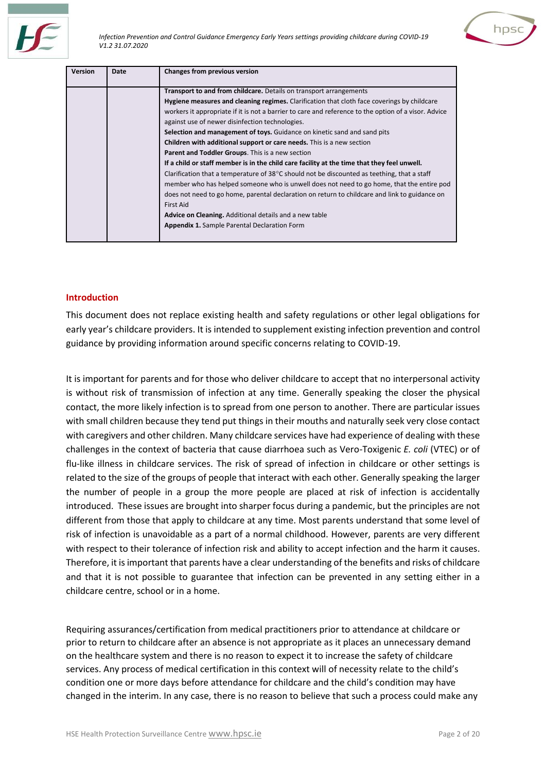



| Version | Date | Changes from previous version                                                                         |  |
|---------|------|-------------------------------------------------------------------------------------------------------|--|
|         |      | <b>Transport to and from childcare.</b> Details on transport arrangements                             |  |
|         |      | Hygiene measures and cleaning regimes. Clarification that cloth face coverings by childcare           |  |
|         |      | workers it appropriate if it is not a barrier to care and reference to the option of a visor. Advice  |  |
|         |      | against use of newer disinfection technologies.                                                       |  |
|         |      | Selection and management of toys. Guidance on kinetic sand and sand pits                              |  |
|         |      | <b>Children with additional support or care needs.</b> This is a new section                          |  |
|         |      | Parent and Toddler Groups. This is a new section                                                      |  |
|         |      | If a child or staff member is in the child care facility at the time that they feel unwell.           |  |
|         |      | Clarification that a temperature of $38^{\circ}$ C should not be discounted as teething, that a staff |  |
|         |      | member who has helped someone who is unwell does not need to go home, that the entire pod             |  |
|         |      | does not need to go home, parental declaration on return to childcare and link to guidance on         |  |
|         |      | <b>First Aid</b>                                                                                      |  |
|         |      | Advice on Cleaning. Additional details and a new table                                                |  |
|         |      | <b>Appendix 1.</b> Sample Parental Declaration Form                                                   |  |
|         |      |                                                                                                       |  |

#### **Introduction**

This document does not replace existing health and safety regulations or other legal obligations for early year's childcare providers. It is intended to supplement existing infection prevention and control guidance by providing information around specific concerns relating to COVID-19.

It is important for parents and for those who deliver childcare to accept that no interpersonal activity is without risk of transmission of infection at any time. Generally speaking the closer the physical contact, the more likely infection is to spread from one person to another. There are particular issues with small children because they tend put things in their mouths and naturally seek very close contact with caregivers and other children. Many childcare services have had experience of dealing with these challenges in the context of bacteria that cause diarrhoea such as Vero-Toxigenic *E. coli* (VTEC) or of flu-like illness in childcare services. The risk of spread of infection in childcare or other settings is related to the size of the groups of people that interact with each other. Generally speaking the larger the number of people in a group the more people are placed at risk of infection is accidentally introduced. These issues are brought into sharper focus during a pandemic, but the principles are not different from those that apply to childcare at any time. Most parents understand that some level of risk of infection is unavoidable as a part of a normal childhood. However, parents are very different with respect to their tolerance of infection risk and ability to accept infection and the harm it causes. Therefore, it is important that parents have a clear understanding of the benefits and risks of childcare and that it is not possible to guarantee that infection can be prevented in any setting either in a childcare centre, school or in a home.

Requiring assurances/certification from medical practitioners prior to attendance at childcare or prior to return to childcare after an absence is not appropriate as it places an unnecessary demand on the healthcare system and there is no reason to expect it to increase the safety of childcare services. Any process of medical certification in this context will of necessity relate to the child's condition one or more days before attendance for childcare and the child's condition may have changed in the interim. In any case, there is no reason to believe that such a process could make any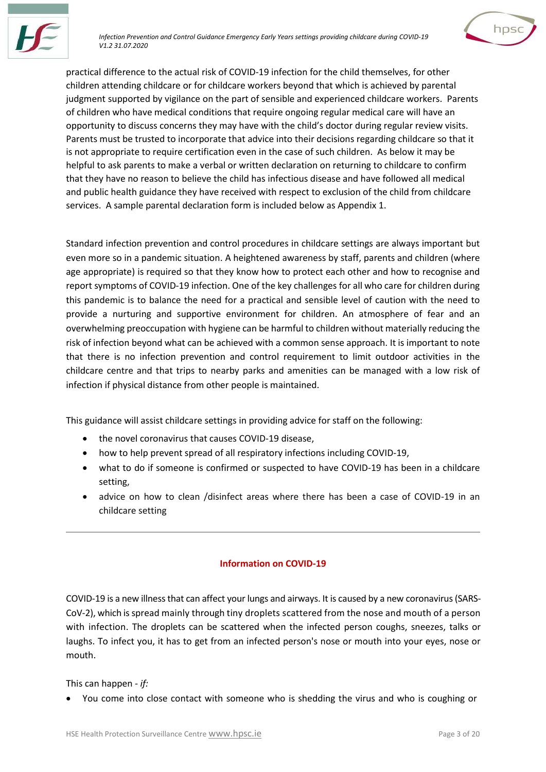



practical difference to the actual risk of COVID-19 infection for the child themselves, for other children attending childcare or for childcare workers beyond that which is achieved by parental judgment supported by vigilance on the part of sensible and experienced childcare workers. Parents of children who have medical conditions that require ongoing regular medical care will have an opportunity to discuss concerns they may have with the child's doctor during regular review visits. Parents must be trusted to incorporate that advice into their decisions regarding childcare so that it is not appropriate to require certification even in the case of such children. As below it may be helpful to ask parents to make a verbal or written declaration on returning to childcare to confirm that they have no reason to believe the child has infectious disease and have followed all medical and public health guidance they have received with respect to exclusion of the child from childcare services. A sample parental declaration form is included below as Appendix 1.

Standard infection prevention and control procedures in childcare settings are always important but even more so in a pandemic situation. A heightened awareness by staff, parents and children (where age appropriate) is required so that they know how to protect each other and how to recognise and report symptoms of COVID-19 infection. One of the key challenges for all who care for children during this pandemic is to balance the need for a practical and sensible level of caution with the need to provide a nurturing and supportive environment for children. An atmosphere of fear and an overwhelming preoccupation with hygiene can be harmful to children without materially reducing the risk of infection beyond what can be achieved with a common sense approach. It is important to note that there is no infection prevention and control requirement to limit outdoor activities in the childcare centre and that trips to nearby parks and amenities can be managed with a low risk of infection if physical distance from other people is maintained.

This guidance will assist childcare settings in providing advice for staff on the following:

- the novel coronavirus that causes COVID-19 disease,
- how to help prevent spread of all respiratory infections including COVID-19,
- what to do if someone is confirmed or suspected to have COVID-19 has been in a childcare setting,
- advice on how to clean /disinfect areas where there has been a case of COVID-19 in an childcare setting

#### **Information on COVID-19**

COVID-19 is a new illness that can affect your lungs and airways. It is caused by a new coronavirus (SARS-CoV-2), which is spread mainly through tiny droplets scattered from the nose and mouth of a person with infection. The droplets can be scattered when the infected person coughs, sneezes, talks or laughs. To infect you, it has to get from an infected person's nose or mouth into your eyes, nose or mouth.

This can happen - *if:*

• You come into close contact with someone who is shedding the virus and who is coughing or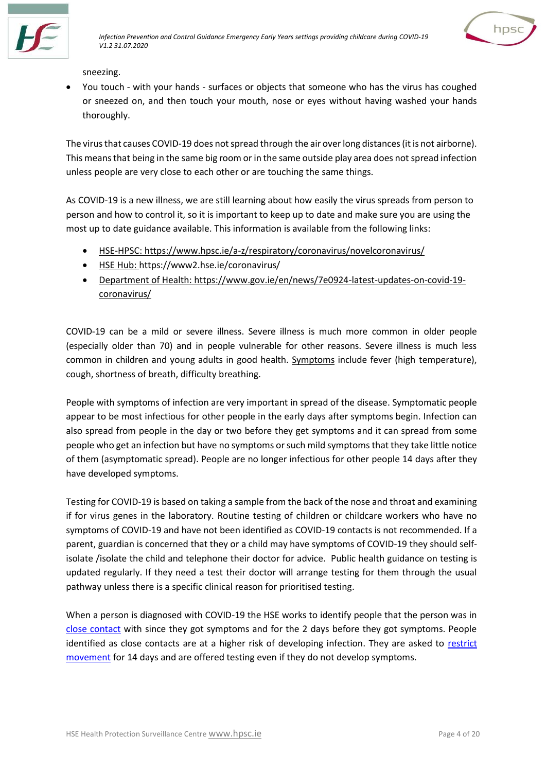



sneezing.

• You touch - with your hands - surfaces or objects that someone who has the virus has coughed or sneezed on, and then touch your mouth, nose or eyes without having washed your hands thoroughly.

The virus that causes COVID-19 does not spread through the air over long distances (it is not airborne). This means that being in the same big room or in the same outside play area does not spread infection unless people are very close to each other or are touching the same things.

As COVID-19 is a new illness, we are still learning about how easily the virus spreads from person to person and how to control it, so it is important to keep up to date and make sure you are using the most up to date guidance available. This information is available from the following links:

- [HSE-HPSC:](https://www.hpsc.ie/a-z/respiratory/coronavirus/novelcoronavirus/) https://www.hpsc.ie/a-z/respiratory/coronavirus/novelcoronavirus/
- [HSE Hub:](https://hse.drsteevenslibrary.ie/Covid19V2) https://www2.hse.ie/coronavirus/
- [Department of Health:](https://www.gov.ie/en/campaigns/c36c85-covid-19-coronavirus/) https://www.gov.ie/en/news/7e0924-latest-updates-on-covid-19 coronavirus/

COVID-19 can be a mild or severe illness. Severe illness is much more common in older people (especially older than 70) and in people vulnerable for other reasons. Severe illness is much less common in children and young adults in good health. [Symptoms](https://www2.hse.ie/coronavirus/) include fever (high temperature), cough, shortness of breath, difficulty breathing.

People with symptoms of infection are very important in spread of the disease. Symptomatic people appear to be most infectious for other people in the early days after symptoms begin. Infection can also spread from people in the day or two before they get symptoms and it can spread from some people who get an infection but have no symptoms or such mild symptoms that they take little notice of them (asymptomatic spread). People are no longer infectious for other people 14 days after they have developed symptoms.

Testing for COVID-19 is based on taking a sample from the back of the nose and throat and examining if for virus genes in the laboratory. Routine testing of children or childcare workers who have no symptoms of COVID-19 and have not been identified as COVID-19 contacts is not recommended. If a parent, guardian is concerned that they or a child may have symptoms of COVID-19 they should selfisolate /isolate the child and telephone their doctor for advice. Public health guidance on testing is updated regularly. If they need a test their doctor will arrange testing for them through the usual pathway unless there is a specific clinical reason for prioritised testing.

When a person is diagnosed with COVID-19 the HSE works to identify people that the person was in [close contact](https://www2.hse.ie/conditions/coronavirus/testing/contact-tracing.html) with since they got symptoms and for the 2 days before they got symptoms. People identified as close contacts are at a higher risk of developing infection. They are asked to restrict [movement](https://www2.hse.ie/conditions/coronavirus/managing-coronavirus-at-home/if-you-live-with-someone-who-has-coronavirus.html) for 14 days and are offered testing even if they do not develop symptoms.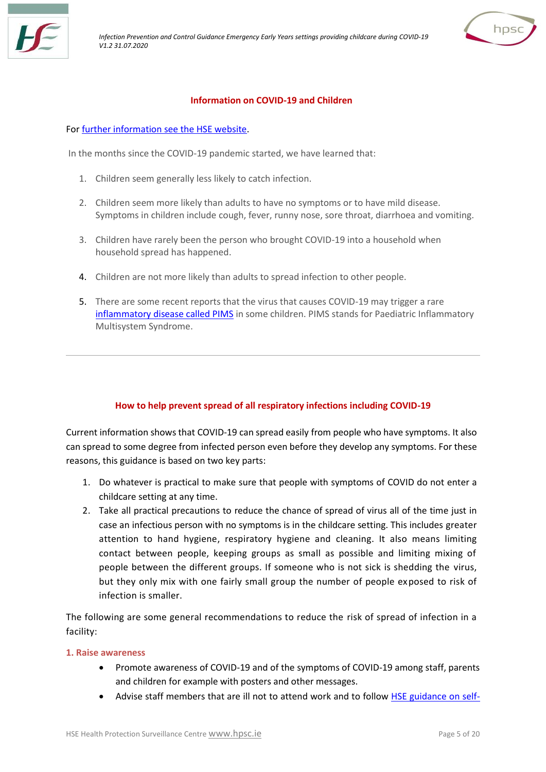



## **Information on COVID-19 and Children**

For [further information see the HSE website.](https://www2.hse.ie/conditions/coronavirus/if-your-child-has-symptoms.html)

In the months since the COVID-19 pandemic started, we have learned that:

- 1. Children seem generally less likely to catch infection.
- 2. Children seem more likely than adults to have no symptoms or to have mild disease. Symptoms in children include cough, fever, runny nose, sore throat, diarrhoea and vomiting.
- 3. Children have rarely been the person who brought COVID-19 into a household when household spread has happened.
- 4. Children are not more likely than adults to spread infection to other people.
- 5. There are some recent reports that the virus that causes COVID-19 may trigger a rare [inflammatory disease called PIMS](https://www2.hse.ie/conditions/coronavirus/if-your-child-has-symptoms.html) in some children. PIMS stands for Paediatric Inflammatory Multisystem Syndrome.

## **How to help prevent spread of all respiratory infections including COVID-19**

Current information shows that COVID-19 can spread easily from people who have symptoms. It also can spread to some degree from infected person even before they develop any symptoms. For these reasons, this guidance is based on two key parts:

- 1. Do whatever is practical to make sure that people with symptoms of COVID do not enter a childcare setting at any time.
- 2. Take all practical precautions to reduce the chance of spread of virus all of the time just in case an infectious person with no symptoms is in the childcare setting. This includes greater attention to hand hygiene, respiratory hygiene and cleaning. It also means limiting contact between people, keeping groups as small as possible and limiting mixing of people between the different groups. If someone who is not sick is shedding the virus, but they only mix with one fairly small group the number of people exposed to risk of infection is smaller.

The following are some general recommendations to reduce the risk of spread of infection in a facility:

## **1. Raise awareness**

- Promote awareness of COVID-19 and of the symptoms of COVID-19 among staff, parents and children for example with posters and other messages.
- Advise staff members that are ill not to attend work and to follow [HSE guidance on self-](https://www2.hse.ie/conditions/coronavirus/managing-coronavirus-at-home/self-isolation.html)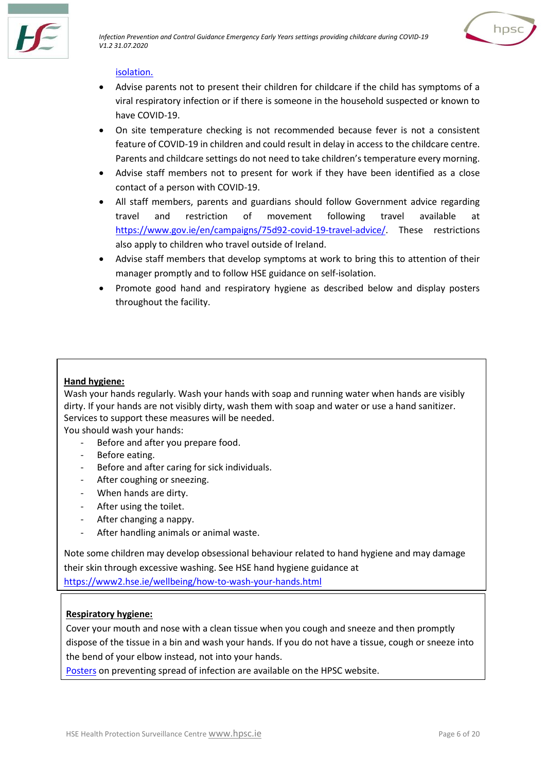



#### [isolation.](https://www2.hse.ie/conditions/coronavirus/managing-coronavirus-at-home/self-isolation.html)

- Advise parents not to present their children for childcare if the child has symptoms of a viral respiratory infection or if there is someone in the household suspected or known to have COVID-19.
- On site temperature checking is not recommended because fever is not a consistent feature of COVID-19 in children and could result in delay in access to the childcare centre. Parents and childcare settings do not need to take children's temperature every morning.
- Advise staff members not to present for work if they have been identified as a close contact of a person with COVID-19.
- All staff members, parents and guardians should follow Government advice regarding travel and restriction of movement following travel available at [https://www.gov.ie/en/campaigns/75d92-covid-19-travel-advice/.](https://www.gov.ie/en/campaigns/75d92-covid-19-travel-advice/) These restrictions also apply to children who travel outside of Ireland.
- Advise staff members that develop symptoms at work to bring this to attention of their manager promptly and to follow HSE guidance on self-isolation.
- Promote good hand and respiratory hygiene as described below and display posters throughout the facility.

#### **Hand hygiene:**

Wash your hands regularly. Wash your hands with soap and running water when hands are visibly dirty. If your hands are not visibly dirty, wash them with soap and water or use a hand sanitizer. Services to support these measures will be needed.

You should wash your hands:

- Before and after you prepare food.
- Before eating.
- Before and after caring for sick individuals.
- After coughing or sneezing.
- When hands are dirty.
- After using the toilet.
- After changing a nappy.
- After handling animals or animal waste.

Note some children may develop obsessional behaviour related to hand hygiene and may damage their skin through excessive washing. See HSE hand hygiene guidance at <https://www2.hse.ie/wellbeing/how-to-wash-your-hands.html>

#### **Respiratory hygiene:**

Cover your mouth and nose with a clean tissue when you cough and sneeze and then promptly dispose of the tissue in a bin and wash your hands. If you do not have a tissue, cough or sneeze into the bend of your elbow instead, not into your hands.

[Posters](http://www.hpsc.ie/a-z/microbiologyantimicrobialresistance/infectioncontrolandhai/posters/) on preventing spread of infection are available on the HPSC website.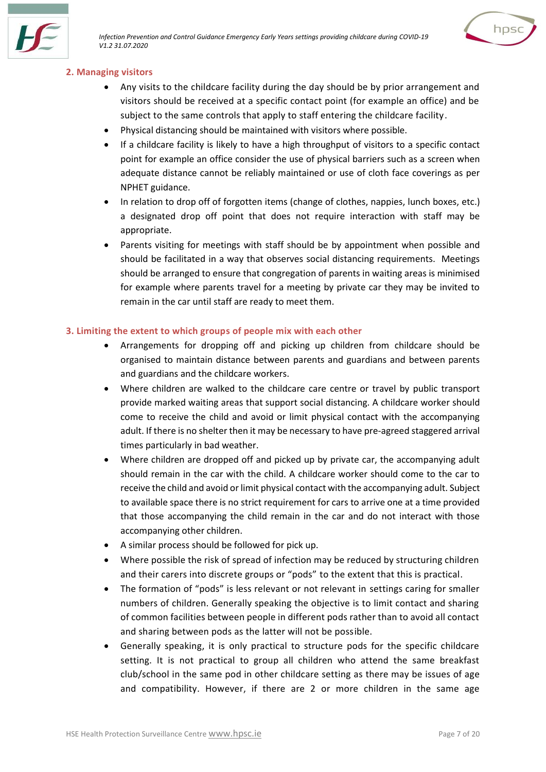



## **2. Managing visitors**

- Any visits to the childcare facility during the day should be by prior arrangement and visitors should be received at a specific contact point (for example an office) and be subject to the same controls that apply to staff entering the childcare facility.
- Physical distancing should be maintained with visitors where possible.
- If a childcare facility is likely to have a high throughput of visitors to a specific contact point for example an office consider the use of physical barriers such as a screen when adequate distance cannot be reliably maintained or use of cloth face coverings as per NPHET guidance.
- In relation to drop off of forgotten items (change of clothes, nappies, lunch boxes, etc.) a designated drop off point that does not require interaction with staff may be appropriate.
- Parents visiting for meetings with staff should be by appointment when possible and should be facilitated in a way that observes social distancing requirements. Meetings should be arranged to ensure that congregation of parents in waiting areas is minimised for example where parents travel for a meeting by private car they may be invited to remain in the car until staff are ready to meet them.

#### **3. Limiting the extent to which groups of people mix with each other**

- Arrangements for dropping off and picking up children from childcare should be organised to maintain distance between parents and guardians and between parents and guardians and the childcare workers.
- Where children are walked to the childcare care centre or travel by public transport provide marked waiting areas that support social distancing. A childcare worker should come to receive the child and avoid or limit physical contact with the accompanying adult. If there is no shelter then it may be necessary to have pre-agreed staggered arrival times particularly in bad weather.
- Where children are dropped off and picked up by private car, the accompanying adult should remain in the car with the child. A childcare worker should come to the car to receive the child and avoid or limit physical contact with the accompanying adult. Subject to available space there is no strict requirement for cars to arrive one at a time provided that those accompanying the child remain in the car and do not interact with those accompanying other children.
- A similar process should be followed for pick up.
- Where possible the risk of spread of infection may be reduced by structuring children and their carers into discrete groups or "pods" to the extent that this is practical.
- The formation of "pods" is less relevant or not relevant in settings caring for smaller numbers of children. Generally speaking the objective is to limit contact and sharing of common facilities between people in different pods rather than to avoid all contact and sharing between pods as the latter will not be possible.
- Generally speaking, it is only practical to structure pods for the specific childcare setting. It is not practical to group all children who attend the same breakfast club/school in the same pod in other childcare setting as there may be issues of age and compatibility. However, if there are 2 or more children in the same age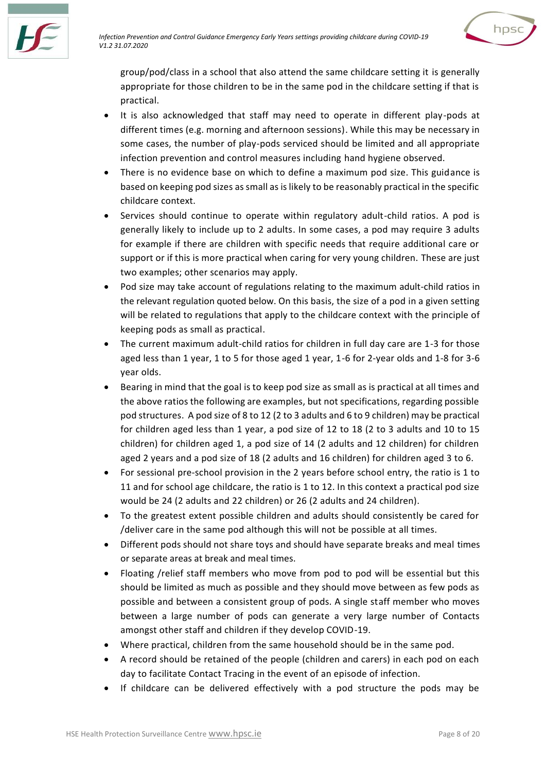



group/pod/class in a school that also attend the same childcare setting it is generally appropriate for those children to be in the same pod in the childcare setting if that is practical.

- It is also acknowledged that staff may need to operate in different play-pods at different times (e.g. morning and afternoon sessions). While this may be necessary in some cases, the number of play-pods serviced should be limited and all appropriate infection prevention and control measures including hand hygiene observed.
- There is no evidence base on which to define a maximum pod size. This guidance is based on keeping pod sizes as small as is likely to be reasonably practical in the specific childcare context.
- Services should continue to operate within regulatory adult-child ratios. A pod is generally likely to include up to 2 adults. In some cases, a pod may require 3 adults for example if there are children with specific needs that require additional care or support or if this is more practical when caring for very young children. These are just two examples; other scenarios may apply.
- Pod size may take account of regulations relating to the maximum adult-child ratios in the relevant regulation quoted below. On this basis, the size of a pod in a given setting will be related to regulations that apply to the childcare context with the principle of keeping pods as small as practical.
- The current maximum adult-child ratios for children in full day care are 1-3 for those aged less than 1 year, 1 to 5 for those aged 1 year, 1-6 for 2-year olds and 1-8 for 3-6 year olds.
- Bearing in mind that the goal is to keep pod size as small as is practical at all times and the above ratios the following are examples, but not specifications, regarding possible pod structures. A pod size of 8 to 12 (2 to 3 adults and 6 to 9 children) may be practical for children aged less than 1 year, a pod size of 12 to 18 (2 to 3 adults and 10 to 15 children) for children aged 1, a pod size of 14 (2 adults and 12 children) for children aged 2 years and a pod size of 18 (2 adults and 16 children) for children aged 3 to 6.
- For sessional pre-school provision in the 2 years before school entry, the ratio is 1 to 11 and for school age childcare, the ratio is 1 to 12. In this context a practical pod size would be 24 (2 adults and 22 children) or 26 (2 adults and 24 children).
- To the greatest extent possible children and adults should consistently be cared for /deliver care in the same pod although this will not be possible at all times.
- Different pods should not share toys and should have separate breaks and meal times or separate areas at break and meal times.
- Floating /relief staff members who move from pod to pod will be essential but this should be limited as much as possible and they should move between as few pods as possible and between a consistent group of pods. A single staff member who moves between a large number of pods can generate a very large number of Contacts amongst other staff and children if they develop COVID-19.
- Where practical, children from the same household should be in the same pod.
- A record should be retained of the people (children and carers) in each pod on each day to facilitate Contact Tracing in the event of an episode of infection.
- If childcare can be delivered effectively with a pod structure the pods may be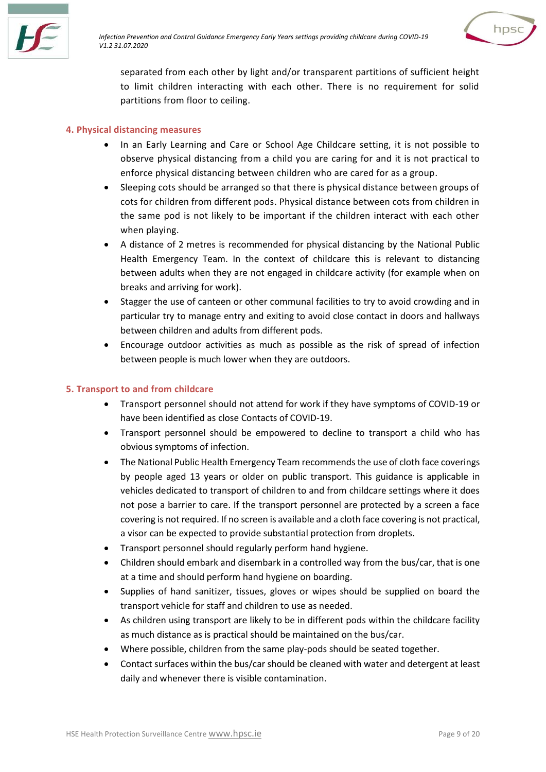



separated from each other by light and/or transparent partitions of sufficient height to limit children interacting with each other. There is no requirement for solid partitions from floor to ceiling.

#### **4. Physical distancing measures**

- In an Early Learning and Care or School Age Childcare setting, it is not possible to observe physical distancing from a child you are caring for and it is not practical to enforce physical distancing between children who are cared for as a group.
- Sleeping cots should be arranged so that there is physical distance between groups of cots for children from different pods. Physical distance between cots from children in the same pod is not likely to be important if the children interact with each other when playing.
- A distance of 2 metres is recommended for physical distancing by the National Public Health Emergency Team. In the context of childcare this is relevant to distancing between adults when they are not engaged in childcare activity (for example when on breaks and arriving for work).
- Stagger the use of canteen or other communal facilities to try to avoid crowding and in particular try to manage entry and exiting to avoid close contact in doors and hallways between children and adults from different pods.
- Encourage outdoor activities as much as possible as the risk of spread of infection between people is much lower when they are outdoors.

#### **5. Transport to and from childcare**

- Transport personnel should not attend for work if they have symptoms of COVID-19 or have been identified as close Contacts of COVID-19.
- Transport personnel should be empowered to decline to transport a child who has obvious symptoms of infection.
- The National Public Health Emergency Team recommends the use of cloth face coverings by people aged 13 years or older on public transport. This guidance is applicable in vehicles dedicated to transport of children to and from childcare settings where it does not pose a barrier to care. If the transport personnel are protected by a screen a face covering is not required. If no screen is available and a cloth face covering is not practical, a visor can be expected to provide substantial protection from droplets.
- Transport personnel should regularly perform hand hygiene.
- Children should embark and disembark in a controlled way from the bus/car, that is one at a time and should perform hand hygiene on boarding.
- Supplies of hand sanitizer, tissues, gloves or wipes should be supplied on board the transport vehicle for staff and children to use as needed.
- As children using transport are likely to be in different pods within the childcare facility as much distance as is practical should be maintained on the bus/car.
- Where possible, children from the same play-pods should be seated together.
- Contact surfaces within the bus/car should be cleaned with water and detergent at least daily and whenever there is visible contamination.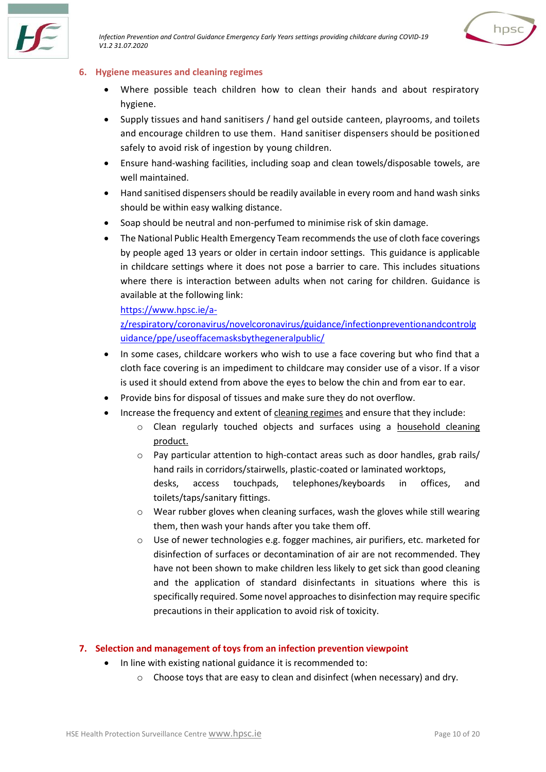

*Infection Prevention and Control Guidance Emergency Early Years settings providing childcare during COVID-19 V1.2 31.07.2020*



#### **6. Hygiene measures and cleaning regimes**

- Where possible teach children how to clean their hands and about respiratory hygiene.
- Supply tissues and hand sanitisers / hand gel outside canteen, playrooms, and toilets and encourage children to use them. Hand sanitiser dispensers should be positioned safely to avoid risk of ingestion by young children.
- Ensure hand-washing facilities, including soap and clean towels/disposable towels, are well maintained.
- Hand sanitised dispensers should be readily available in every room and hand wash sinks should be within easy walking distance.
- Soap should be neutral and non-perfumed to minimise risk of skin damage.
- The National Public Health Emergency Team recommends the use of cloth face coverings by people aged 13 years or older in certain indoor settings. This guidance is applicable in childcare settings where it does not pose a barrier to care. This includes situations where there is interaction between adults when not caring for children. Guidance is available at the following link:

[https://www.hpsc.ie/a-](https://www.hpsc.ie/a-z/respiratory/coronavirus/novelcoronavirus/guidance/infectionpreventionandcontrolguidance/ppe/useoffacemasksbythegeneralpublic/)

[z/respiratory/coronavirus/novelcoronavirus/guidance/infectionpreventionandcontrolg](https://www.hpsc.ie/a-z/respiratory/coronavirus/novelcoronavirus/guidance/infectionpreventionandcontrolguidance/ppe/useoffacemasksbythegeneralpublic/) [uidance/ppe/useoffacemasksbythegeneralpublic/](https://www.hpsc.ie/a-z/respiratory/coronavirus/novelcoronavirus/guidance/infectionpreventionandcontrolguidance/ppe/useoffacemasksbythegeneralpublic/)

- In some cases, childcare workers who wish to use a face covering but who find that a cloth face covering is an impediment to childcare may consider use of a visor. If a visor is used it should extend from above the eyes to below the chin and from ear to ear.
- Provide bins for disposal of tissues and make sure they do not overflow.
- Increase the frequency and extent of cleaning regimes and ensure that they include:
	- $\circ$  Clean regularly touched objects and surfaces using a household cleaning product.
	- o Pay particular attention to high-contact areas such as door handles, grab rails/ hand rails in corridors/stairwells, plastic-coated or laminated worktops, desks, access touchpads, telephones/keyboards in offices, and toilets/taps/sanitary fittings.
	- o Wear rubber gloves when cleaning surfaces, wash the gloves while still wearing them, then wash your hands after you take them off.
	- $\circ$  Use of newer technologies e.g. fogger machines, air purifiers, etc. marketed for disinfection of surfaces or decontamination of air are not recommended. They have not been shown to make children less likely to get sick than good cleaning and the application of standard disinfectants in situations where this is specifically required. Some novel approaches to disinfection may require specific precautions in their application to avoid risk of toxicity.

#### **7. Selection and management of toys from an infection prevention viewpoint**

- In line with existing national guidance it is recommended to:
	- $\circ$  Choose toys that are easy to clean and disinfect (when necessary) and dry.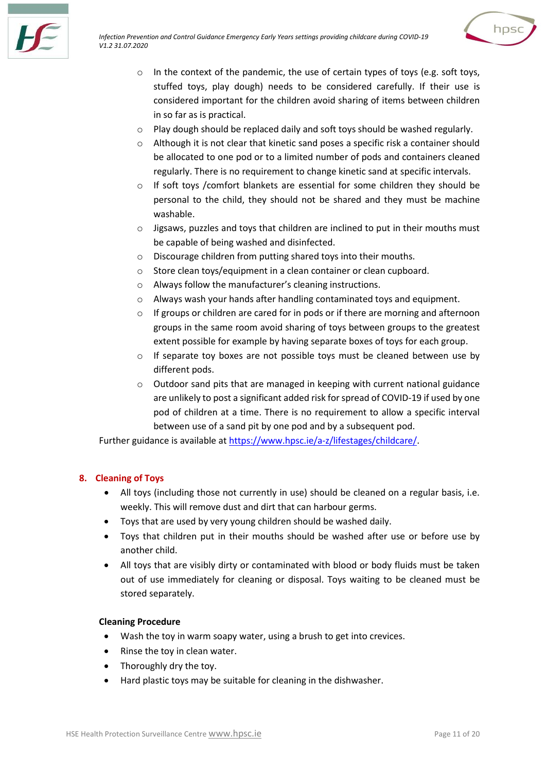



- $\circ$  In the context of the pandemic, the use of certain types of toys (e.g. soft toys, stuffed toys, play dough) needs to be considered carefully. If their use is considered important for the children avoid sharing of items between children in so far as is practical.
- $\circ$  Play dough should be replaced daily and soft toys should be washed regularly.
- $\circ$  Although it is not clear that kinetic sand poses a specific risk a container should be allocated to one pod or to a limited number of pods and containers cleaned regularly. There is no requirement to change kinetic sand at specific intervals.
- o If soft toys /comfort blankets are essential for some children they should be personal to the child, they should not be shared and they must be machine washable.
- $\circ$  Jigsaws, puzzles and toys that children are inclined to put in their mouths must be capable of being washed and disinfected.
- o Discourage children from putting shared toys into their mouths.
- o Store clean toys/equipment in a clean container or clean cupboard.
- o Always follow the manufacturer's cleaning instructions.
- o Always wash your hands after handling contaminated toys and equipment.
- $\circ$  If groups or children are cared for in pods or if there are morning and afternoon groups in the same room avoid sharing of toys between groups to the greatest extent possible for example by having separate boxes of toys for each group.
- o If separate toy boxes are not possible toys must be cleaned between use by different pods.
- $\circ$  Outdoor sand pits that are managed in keeping with current national guidance are unlikely to post a significant added risk for spread of COVID-19 if used by one pod of children at a time. There is no requirement to allow a specific interval between use of a sand pit by one pod and by a subsequent pod.

Further guidance is available at [https://www.hpsc.ie/a-z/lifestages/childcare/.](https://www.hpsc.ie/a-z/lifestages/childcare/)

#### **8. Cleaning of Toys**

- All toys (including those not currently in use) should be cleaned on a regular basis, i.e. weekly. This will remove dust and dirt that can harbour germs.
- Toys that are used by very young children should be washed daily.
- Toys that children put in their mouths should be washed after use or before use by another child.
- All toys that are visibly dirty or contaminated with blood or body fluids must be taken out of use immediately for cleaning or disposal. Toys waiting to be cleaned must be stored separately.

#### **Cleaning Procedure**

- Wash the toy in warm soapy water, using a brush to get into crevices.
- Rinse the toy in clean water.
- Thoroughly dry the toy.
- Hard plastic toys may be suitable for cleaning in the dishwasher.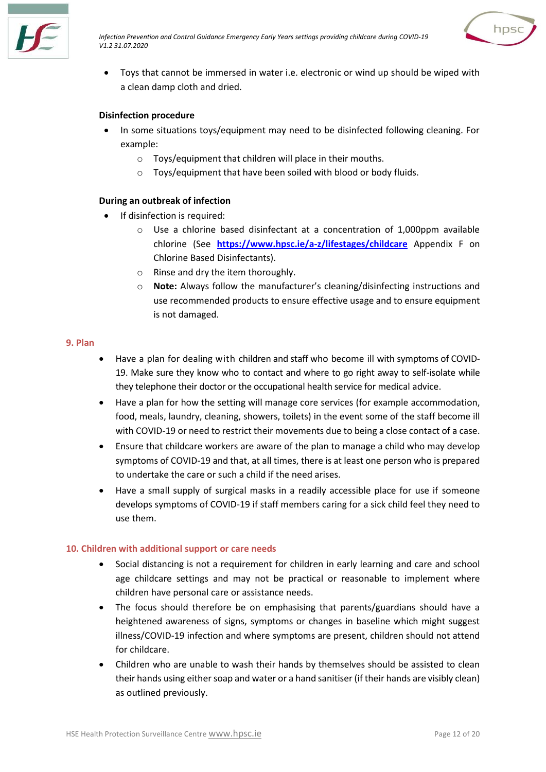



• Toys that cannot be immersed in water i.e. electronic or wind up should be wiped with a clean damp cloth and dried.

#### **Disinfection procedure**

- In some situations toys/equipment may need to be disinfected following cleaning. For example:
	- o Toys/equipment that children will place in their mouths.
	- o Toys/equipment that have been soiled with blood or body fluids.

#### **During an outbreak of infection**

- If disinfection is required:
	- o Use a chlorine based disinfectant at a concentration of 1,000ppm available chlorine (See **<https://www.hpsc.ie/a-z/lifestages/childcare>** Appendix F on Chlorine Based Disinfectants).
	- o Rinse and dry the item thoroughly.
	- o **Note:** Always follow the manufacturer's cleaning/disinfecting instructions and use recommended products to ensure effective usage and to ensure equipment is not damaged.

#### **9. Plan**

- Have a plan for dealing with children and staff who become ill with symptoms of COVID-19. Make sure they know who to contact and where to go right away to self-isolate while they telephone their doctor or the occupational health service for medical advice.
- Have a plan for how the setting will manage core services (for example accommodation, food, meals, laundry, cleaning, showers, toilets) in the event some of the staff become ill with COVID-19 or need to restrict their movements due to being a close contact of a case.
- Ensure that childcare workers are aware of the plan to manage a child who may develop symptoms of COVID-19 and that, at all times, there is at least one person who is prepared to undertake the care or such a child if the need arises.
- Have a small supply of surgical masks in a readily accessible place for use if someone develops symptoms of COVID-19 if staff members caring for a sick child feel they need to use them.

#### **10. Children with additional support or care needs**

- Social distancing is not a requirement for children in early learning and care and school age childcare settings and may not be practical or reasonable to implement where children have personal care or assistance needs.
- The focus should therefore be on emphasising that parents/guardians should have a heightened awareness of signs, symptoms or changes in baseline which might suggest illness/COVID-19 infection and where symptoms are present, children should not attend for childcare.
- Children who are unable to wash their hands by themselves should be assisted to clean their hands using either soap and water or a hand sanitiser (if their hands are visibly clean) as outlined previously.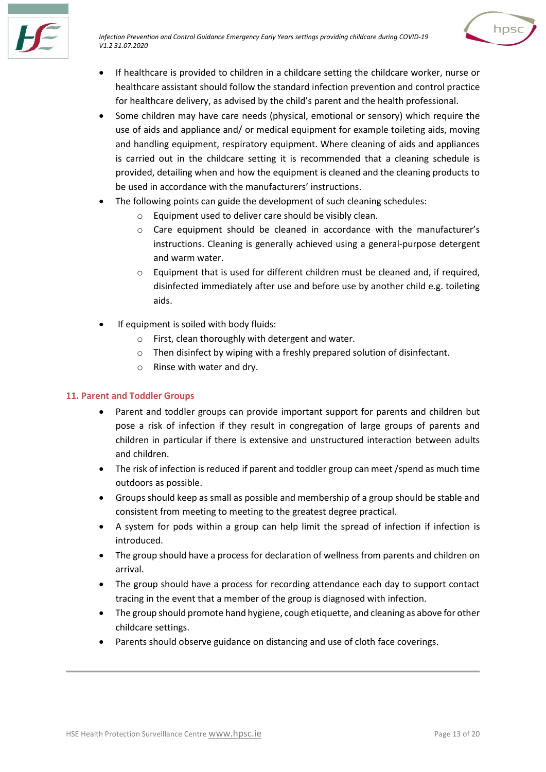



- If healthcare is provided to children in a childcare setting the childcare worker, nurse or healthcare assistant should follow the standard infection prevention and control practice for healthcare delivery, as advised by the child's parent and the health professional.
- Some children may have care needs (physical, emotional or sensory) which require the use of aids and appliance and/ or medical equipment for example toileting aids, moving and handling equipment, respiratory equipment. Where cleaning of aids and appliances is carried out in the childcare setting it is recommended that a cleaning schedule is provided, detailing when and how the equipment is cleaned and the cleaning products to be used in accordance with the manufacturers' instructions.
- The following points can guide the development of such cleaning schedules:
	- o Equipment used to deliver care should be visibly clean.
	- o Care equipment should be cleaned in accordance with the manufacturer's instructions. Cleaning is generally achieved using a general-purpose detergent and warm water.
	- $\circ$  Equipment that is used for different children must be cleaned and, if required, disinfected immediately after use and before use by another child e.g. toileting aids.
- If equipment is soiled with body fluids:
	- o First, clean thoroughly with detergent and water.
	- o Then disinfect by wiping with a freshly prepared solution of disinfectant.
	- o Rinse with water and dry.

#### **11. Parent and Toddler Groups**

- Parent and toddler groups can provide important support for parents and children but pose a risk of infection if they result in congregation of large groups of parents and children in particular if there is extensive and unstructured interaction between adults and children.
- The risk of infection is reduced if parent and toddler group can meet /spend as much time outdoors as possible.
- Groups should keep as small as possible and membership of a group should be stable and consistent from meeting to meeting to the greatest degree practical.
- A system for pods within a group can help limit the spread of infection if infection is introduced.
- The group should have a process for declaration of wellness from parents and children on arrival.
- The group should have a process for recording attendance each day to support contact tracing in the event that a member of the group is diagnosed with infection.
- The group should promote hand hygiene, cough etiquette, and cleaning as above for other childcare settings.
- Parents should observe guidance on distancing and use of cloth face coverings.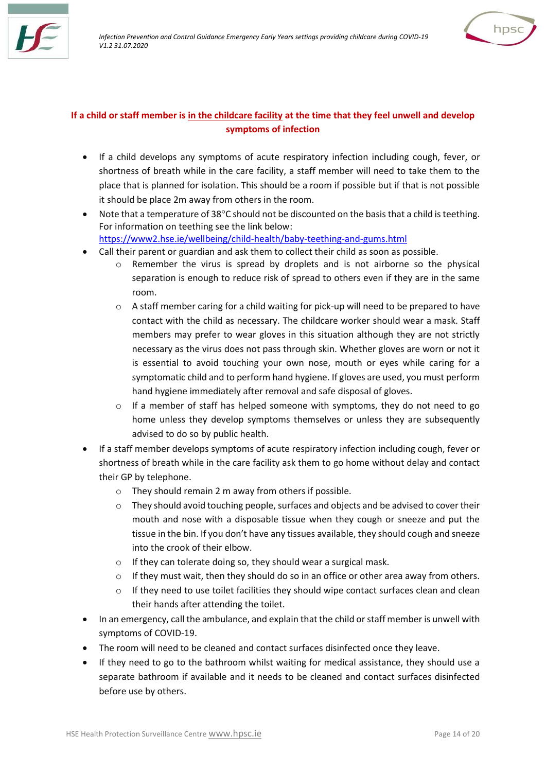



### **If a child or staff member is in the childcare facility at the time that they feel unwell and develop symptoms of infection**

- If a child develops any symptoms of acute respiratory infection including cough, fever, or shortness of breath while in the care facility, a staff member will need to take them to the place that is planned for isolation. This should be a room if possible but if that is not possible it should be place 2m away from others in the room.
- Note that a temperature of  $38^{\circ}$ C should not be discounted on the basis that a child is teething. For information on teething see the link below: <https://www2.hse.ie/wellbeing/child-health/baby-teething-and-gums.html>
- Call their parent or guardian and ask them to collect their child as soon as possible.
	- Remember the virus is spread by droplets and is not airborne so the physical separation is enough to reduce risk of spread to others even if they are in the same room.
	- o A staff member caring for a child waiting for pick-up will need to be prepared to have contact with the child as necessary. The childcare worker should wear a mask. Staff members may prefer to wear gloves in this situation although they are not strictly necessary as the virus does not pass through skin. Whether gloves are worn or not it is essential to avoid touching your own nose, mouth or eyes while caring for a symptomatic child and to perform hand hygiene. If gloves are used, you must perform hand hygiene immediately after removal and safe disposal of gloves.
	- o If a member of staff has helped someone with symptoms, they do not need to go home unless they develop symptoms themselves or unless they are subsequently advised to do so by public health.
- If a staff member develops symptoms of acute respiratory infection including cough, fever or shortness of breath while in the care facility ask them to go home without delay and contact their GP by telephone.
	- o They should remain 2 m away from others if possible.
	- o They should avoid touching people, surfaces and objects and be advised to cover their mouth and nose with a disposable tissue when they cough or sneeze and put the tissue in the bin. If you don't have any tissues available, they should cough and sneeze into the crook of their elbow.
	- o If they can tolerate doing so, they should wear a surgical mask.
	- $\circ$  If they must wait, then they should do so in an office or other area away from others.
	- $\circ$  If they need to use toilet facilities they should wipe contact surfaces clean and clean their hands after attending the toilet.
- In an emergency, call the ambulance, and explain that the child or staff member is unwell with symptoms of COVID-19.
- The room will need to be cleaned and contact surfaces disinfected once they leave.
- If they need to go to the bathroom whilst waiting for medical assistance, they should use a separate bathroom if available and it needs to be cleaned and contact surfaces disinfected before use by others.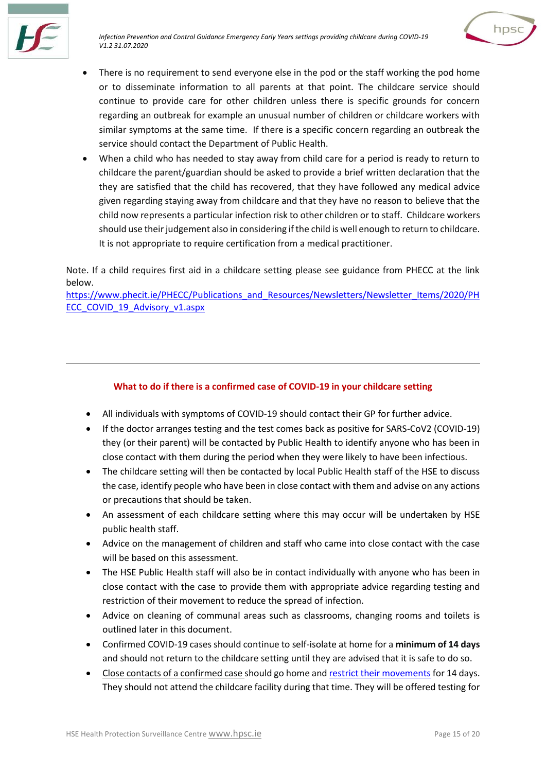



- There is no requirement to send everyone else in the pod or the staff working the pod home or to disseminate information to all parents at that point. The childcare service should continue to provide care for other children unless there is specific grounds for concern regarding an outbreak for example an unusual number of children or childcare workers with similar symptoms at the same time. If there is a specific concern regarding an outbreak the service should contact the Department of Public Health.
- When a child who has needed to stay away from child care for a period is ready to return to childcare the parent/guardian should be asked to provide a brief written declaration that the they are satisfied that the child has recovered, that they have followed any medical advice given regarding staying away from childcare and that they have no reason to believe that the child now represents a particular infection risk to other children or to staff. Childcare workers should use their judgement also in considering if the child is well enough to return to childcare. It is not appropriate to require certification from a medical practitioner.

Note. If a child requires first aid in a childcare setting please see guidance from PHECC at the link below.

[https://www.phecit.ie/PHECC/Publications\\_and\\_Resources/Newsletters/Newsletter\\_Items/2020/PH](https://www.phecit.ie/PHECC/Publications_and_Resources/Newsletters/Newsletter_Items/2020/PHECC_COVID_19_Advisory_v1.aspx) [ECC\\_COVID\\_19\\_Advisory\\_v1.aspx](https://www.phecit.ie/PHECC/Publications_and_Resources/Newsletters/Newsletter_Items/2020/PHECC_COVID_19_Advisory_v1.aspx)

#### **What to do if there is a confirmed case of COVID-19 in your childcare setting**

- All individuals with symptoms of COVID-19 should contact their GP for further advice.
- If the doctor arranges testing and the test comes back as positive for SARS-CoV2 (COVID-19) they (or their parent) will be contacted by Public Health to identify anyone who has been in close contact with them during the period when they were likely to have been infectious.
- The childcare setting will then be contacted by local Public Health staff of the HSE to discuss the case, identify people who have been in close contact with them and advise on any actions or precautions that should be taken.
- An assessment of each childcare setting where this may occur will be undertaken by HSE public health staff.
- Advice on the management of children and staff who came into close contact with the case will be based on this assessment.
- The HSE Public Health staff will also be in contact individually with anyone who has been in close contact with the case to provide them with appropriate advice regarding testing and restriction of their movement to reduce the spread of infection.
- Advice on cleaning of communal areas such as classrooms, changing rooms and toilets is outlined later in this document.
- Confirmed COVID-19 cases should continue t[o self-isolate](https://www2.hse.ie/conditions/coronavirus/managing-coronavirus-at-home/self-isolation.html) at home for a **minimum of 14 days** and should not return to the childcare setting until they are advised that it is safe to do so.
- Close contacts of a confirmed case should go home and restrict their movements for 14 days. They should not attend the childcare facility during that time. They will be offered testing for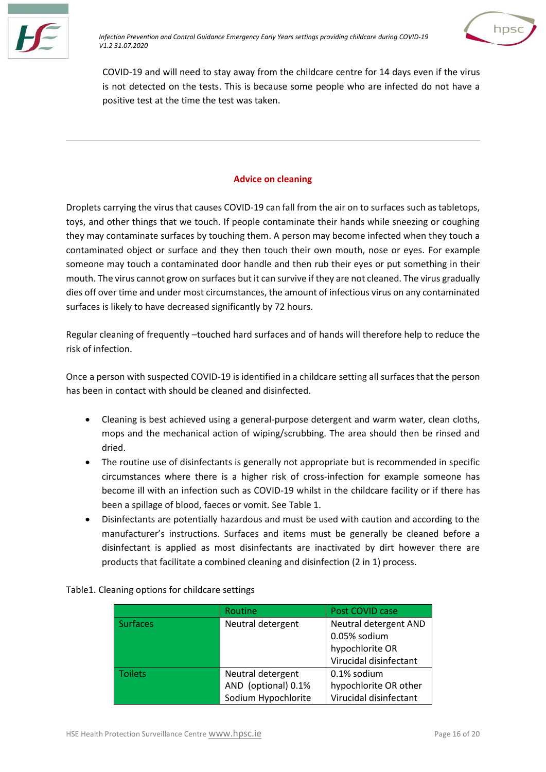



COVID-19 and will need to stay away from the childcare centre for 14 days even if the virus is not detected on the tests. This is because some people who are infected do not have a positive test at the time the test was taken.

#### **Advice on cleaning**

Droplets carrying the virus that causes COVID-19 can fall from the air on to surfaces such as tabletops, toys, and other things that we touch. If people contaminate their hands while sneezing or coughing they may contaminate surfaces by touching them. A person may become infected when they touch a contaminated object or surface and they then touch their own mouth, nose or eyes. For example someone may touch a contaminated door handle and then rub their eyes or put something in their mouth. The virus cannot grow on surfaces but it can survive if they are not cleaned. The virus gradually dies off over time and under most circumstances, the amount of infectious virus on any contaminated surfaces is likely to have decreased significantly by 72 hours.

Regular cleaning of frequently –touched hard surfaces and of hands will therefore help to reduce the risk of infection.

Once a person with suspected COVID-19 is identified in a childcare setting all surfaces that the person has been in contact with should be cleaned and disinfected.

- Cleaning is best achieved using a general-purpose detergent and warm water, clean cloths, mops and the mechanical action of wiping/scrubbing. The area should then be rinsed and dried.
- The routine use of disinfectants is generally not appropriate but is recommended in specific circumstances where there is a higher risk of cross-infection for example someone has become ill with an infection such as COVID-19 whilst in the childcare facility or if there has been a spillage of blood, faeces or vomit. See Table 1.
- Disinfectants are potentially hazardous and must be used with caution and according to the manufacturer's instructions. Surfaces and items must be generally be cleaned before a disinfectant is applied as most disinfectants are inactivated by dirt however there are products that facilitate a combined cleaning and disinfection (2 in 1) process.

|                 | Routine             | Post COVID case        |
|-----------------|---------------------|------------------------|
| <b>Surfaces</b> | Neutral detergent   | Neutral detergent AND  |
|                 |                     | 0.05% sodium           |
|                 |                     | hypochlorite OR        |
|                 |                     | Virucidal disinfectant |
| <b>Toilets</b>  | Neutral detergent   | 0.1% sodium            |
|                 | AND (optional) 0.1% | hypochlorite OR other  |
|                 | Sodium Hypochlorite | Virucidal disinfectant |

Table1. Cleaning options for childcare settings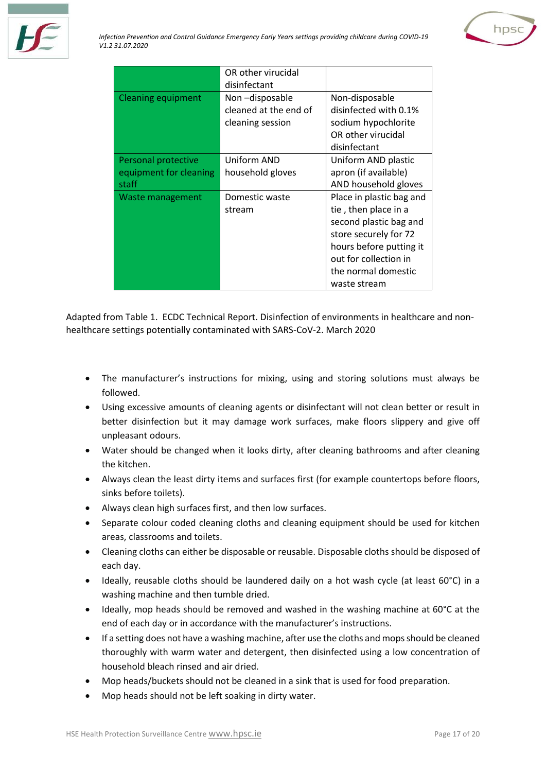



|                           | OR other virucidal    |                          |
|---------------------------|-----------------------|--------------------------|
|                           | disinfectant          |                          |
| <b>Cleaning equipment</b> | Non-disposable        | Non-disposable           |
|                           | cleaned at the end of | disinfected with 0.1%    |
|                           | cleaning session      | sodium hypochlorite      |
|                           |                       | OR other virucidal       |
|                           |                       | disinfectant             |
| Personal protective       | Uniform AND           | Uniform AND plastic      |
| equipment for cleaning    | household gloves      | apron (if available)     |
| staff                     |                       | AND household gloves     |
| Waste management          | Domestic waste        | Place in plastic bag and |
|                           | stream                | tie, then place in a     |
|                           |                       | second plastic bag and   |
|                           |                       | store securely for 72    |
|                           |                       | hours before putting it  |
|                           |                       | out for collection in    |
|                           |                       | the normal domestic      |
|                           |                       | waste stream             |

Adapted from Table 1. ECDC Technical Report. Disinfection of environments in healthcare and nonhealthcare settings potentially contaminated with SARS-CoV-2. March 2020

- The manufacturer's instructions for mixing, using and storing solutions must always be followed.
- Using excessive amounts of cleaning agents or disinfectant will not clean better or result in better disinfection but it may damage work surfaces, make floors slippery and give off unpleasant odours.
- Water should be changed when it looks dirty, after cleaning bathrooms and after cleaning the kitchen.
- Always clean the least dirty items and surfaces first (for example countertops before floors, sinks before toilets).
- Always clean high surfaces first, and then low surfaces.
- Separate colour coded cleaning cloths and cleaning equipment should be used for kitchen areas, classrooms and toilets.
- Cleaning cloths can either be disposable or reusable. Disposable cloths should be disposed of each day.
- Ideally, reusable cloths should be laundered daily on a hot wash cycle (at least 60°C) in a washing machine and then tumble dried.
- Ideally, mop heads should be removed and washed in the washing machine at 60°C at the end of each day or in accordance with the manufacturer's instructions.
- If a setting does not have a washing machine, after use the cloths and mops should be cleaned thoroughly with warm water and detergent, then disinfected using a low concentration of household bleach rinsed and air dried.
- Mop heads/buckets should not be cleaned in a sink that is used for food preparation.
- Mop heads should not be left soaking in dirty water.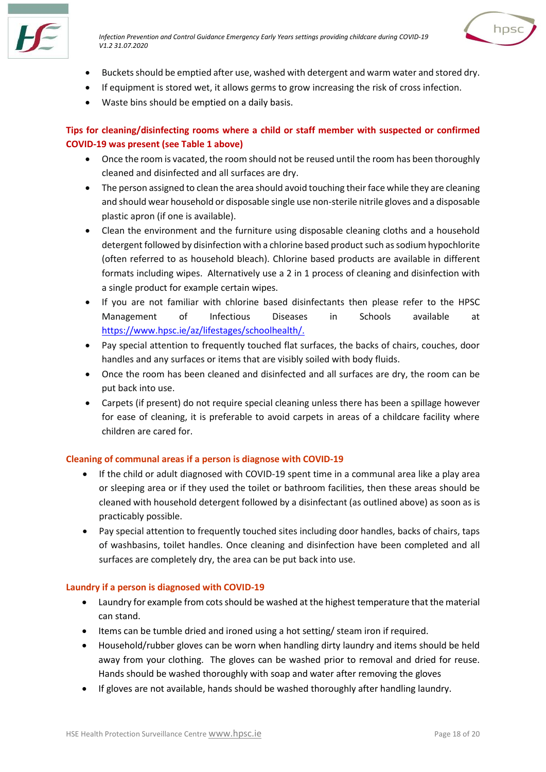

*Infection Prevention and Control Guidance Emergency Early Years settings providing childcare during COVID-19 V1.2 31.07.2020*



- Buckets should be emptied after use, washed with detergent and warm water and stored dry.
- If equipment is stored wet, it allows germs to grow increasing the risk of cross infection.
- Waste bins should be emptied on a daily basis.

## **Tips for cleaning/disinfecting rooms where a child or staff member with suspected or confirmed COVID-19 was present (see Table 1 above)**

- Once the room is vacated, the room should not be reused until the room has been thoroughly cleaned and disinfected and all surfaces are dry.
- The person assigned to clean the area should avoid touching their face while they are cleaning and should wear household or disposable single use non-sterile nitrile gloves and a disposable plastic apron (if one is available).
- Clean the environment and the furniture using disposable cleaning cloths and a household detergent followed by disinfection with a chlorine based product such as sodium hypochlorite (often referred to as household bleach). Chlorine based products are available in different formats including wipes. Alternatively use a 2 in 1 process of cleaning and disinfection with a single product for example certain wipes.
- If you are not familiar with chlorine based disinfectants then please refer to the HPSC Management of Infectious Diseases in Schools available at [https://www.hpsc.ie/az/lifestages/schoolhealth/.](https://www.hpsc.ie/az/lifestages/schoolhealth/)
- Pay special attention to frequently touched flat surfaces, the backs of chairs, couches, door handles and any surfaces or items that are visibly soiled with body fluids.
- Once the room has been cleaned and disinfected and all surfaces are dry, the room can be put back into use.
- Carpets (if present) do not require special cleaning unless there has been a spillage however for ease of cleaning, it is preferable to avoid carpets in areas of a childcare facility where children are cared for.

#### **Cleaning of communal areas if a person is diagnose with COVID-19**

- If the child or adult diagnosed with COVID-19 spent time in a communal area like a play area or sleeping area or if they used the toilet or bathroom facilities, then these areas should be cleaned with household detergent followed by a disinfectant (as outlined above) as soon as is practicably possible.
- Pay special attention to frequently touched sites including door handles, backs of chairs, taps of washbasins, toilet handles. Once cleaning and disinfection have been completed and all surfaces are completely dry, the area can be put back into use.

#### **Laundry if a person is diagnosed with COVID-19**

- Laundry for example from cots should be washed at the highest temperature that the material can stand.
- Items can be tumble dried and ironed using a hot setting/ steam iron if required.
- Household/rubber gloves can be worn when handling dirty laundry and items should be held away from your clothing. The gloves can be washed prior to removal and dried for reuse. Hands should be washed thoroughly with soap and water after removing the gloves
- If gloves are not available, hands should be washed thoroughly after handling laundry.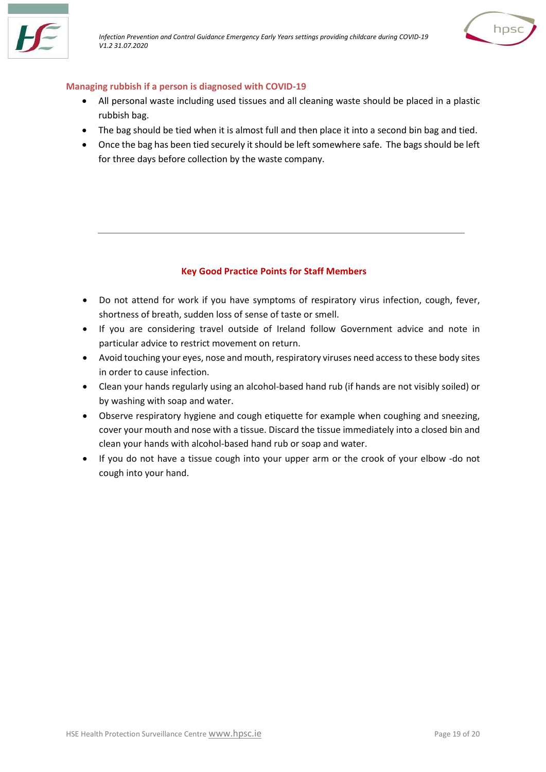



#### **Managing rubbish if a person is diagnosed with COVID-19**

- All personal waste including used tissues and all cleaning waste should be placed in a plastic rubbish bag.
- The bag should be tied when it is almost full and then place it into a second bin bag and tied.
- Once the bag has been tied securely it should be left somewhere safe. The bags should be left for three days before collection by the waste company.

#### **Key Good Practice Points for Staff Members**

- Do not attend for work if you have symptoms of respiratory virus infection, cough, fever, shortness of breath, sudden loss of sense of taste or smell.
- If you are considering travel outside of Ireland follow Government advice and note in particular advice to restrict movement on return.
- Avoid touching your eyes, nose and mouth, respiratory viruses need accessto these body sites in order to cause infection.
- Clean your hands regularly using an alcohol-based hand rub (if hands are not visibly soiled) or by washing with soap and water.
- Observe respiratory hygiene and cough etiquette for example when coughing and sneezing, cover your mouth and nose with a tissue. Discard the tissue immediately into a closed bin and clean your hands with alcohol-based hand rub or soap and water.
- If you do not have a tissue cough into your upper arm or the crook of your elbow -do not cough into your hand.